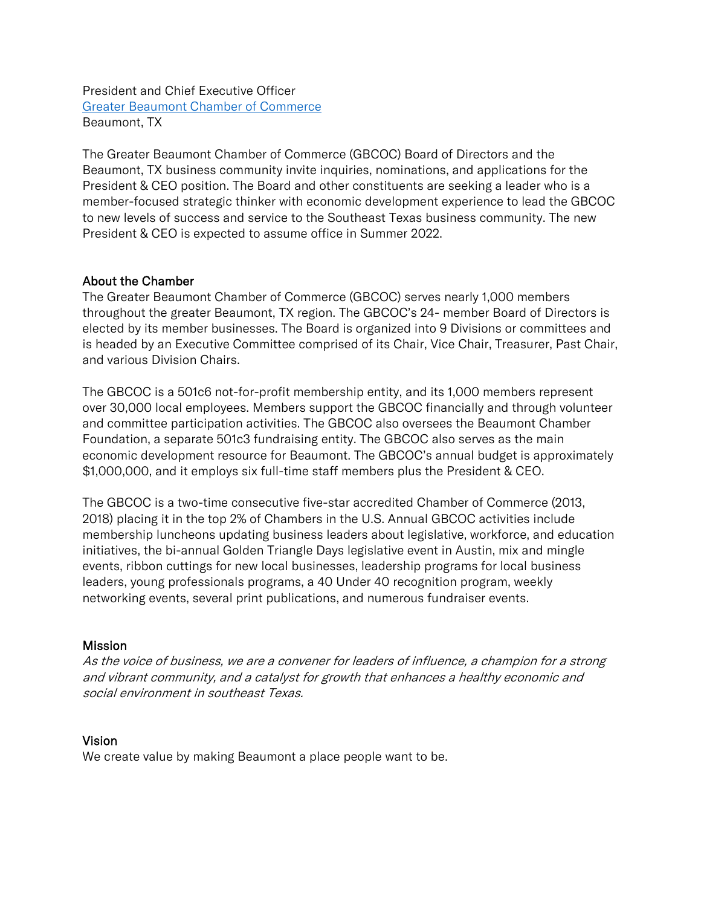President and Chief Executive Officer [Greater Beaumont Chamber of Commerce](http://www.bmtcoc.org/) Beaumont, TX

The Greater Beaumont Chamber of Commerce (GBCOC) Board of Directors and the Beaumont, TX business community invite inquiries, nominations, and applications for the President & CEO position. The Board and other constituents are seeking a leader who is a member-focused strategic thinker with economic development experience to lead the GBCOC to new levels of success and service to the Southeast Texas business community. The new President & CEO is expected to assume office in Summer 2022.

### About the Chamber

The Greater Beaumont Chamber of Commerce (GBCOC) serves nearly 1,000 members throughout the greater Beaumont, TX region. The GBCOC's 24- member Board of Directors is elected by its member businesses. The Board is organized into 9 Divisions or committees and is headed by an Executive Committee comprised of its Chair, Vice Chair, Treasurer, Past Chair, and various Division Chairs.

The GBCOC is a 501c6 not-for-profit membership entity, and its 1,000 members represent over 30,000 local employees. Members support the GBCOC financially and through volunteer and committee participation activities. The GBCOC also oversees the Beaumont Chamber Foundation, a separate 501c3 fundraising entity. The GBCOC also serves as the main economic development resource for Beaumont. The GBCOC's annual budget is approximately \$1,000,000, and it employs six full-time staff members plus the President & CEO.

The GBCOC is a two-time consecutive five-star accredited Chamber of Commerce (2013, 2018) placing it in the top 2% of Chambers in the U.S. Annual GBCOC activities include membership luncheons updating business leaders about legislative, workforce, and education initiatives, the bi-annual Golden Triangle Days legislative event in Austin, mix and mingle events, ribbon cuttings for new local businesses, leadership programs for local business leaders, young professionals programs, a 40 Under 40 recognition program, weekly networking events, several print publications, and numerous fundraiser events.

#### **Mission**

As the voice of business, we are a convener for leaders of influence, a champion for a strong and vibrant community, and a catalyst for growth that enhances a healthy economic and social environment in southeast Texas.

#### Vision

We create value by making Beaumont a place people want to be.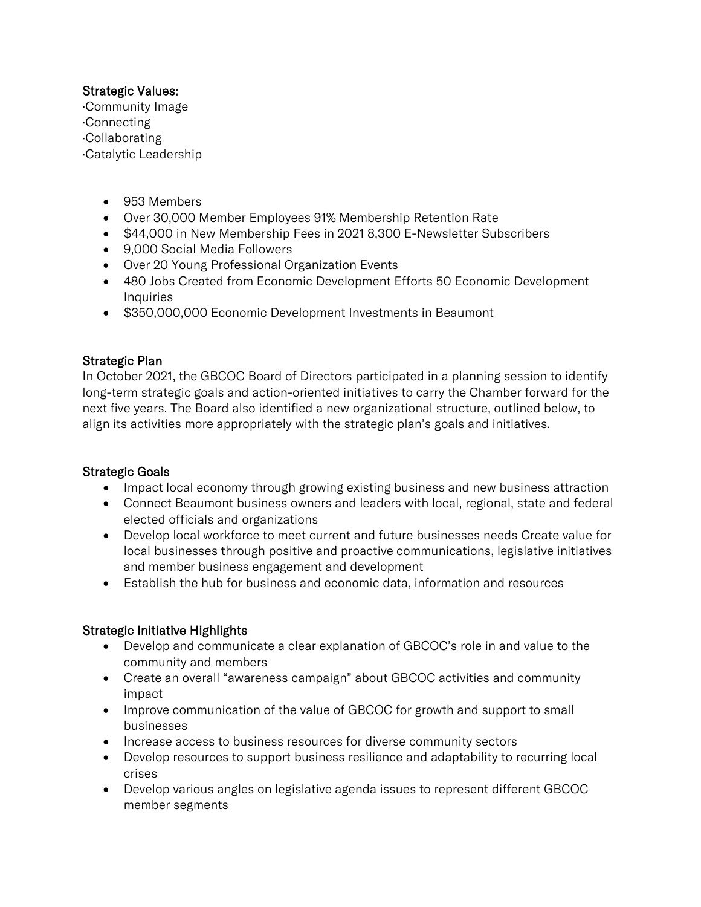## Strategic Values:

·Community Image ·Connecting ·Collaborating ·Catalytic Leadership

- 953 Members
- Over 30,000 Member Employees 91% Membership Retention Rate
- \$44,000 in New Membership Fees in 2021 8,300 E-Newsletter Subscribers
- 9,000 Social Media Followers
- Over 20 Young Professional Organization Events
- 480 Jobs Created from Economic Development Efforts 50 Economic Development **Inquiries**
- \$350,000,000 Economic Development Investments in Beaumont

## Strategic Plan

In October 2021, the GBCOC Board of Directors participated in a planning session to identify long-term strategic goals and action-oriented initiatives to carry the Chamber forward for the next five years. The Board also identified a new organizational structure, outlined below, to align its activities more appropriately with the strategic plan's goals and initiatives.

## Strategic Goals

- Impact local economy through growing existing business and new business attraction
- Connect Beaumont business owners and leaders with local, regional, state and federal elected officials and organizations
- Develop local workforce to meet current and future businesses needs Create value for local businesses through positive and proactive communications, legislative initiatives and member business engagement and development
- Establish the hub for business and economic data, information and resources

## Strategic Initiative Highlights

- Develop and communicate a clear explanation of GBCOC's role in and value to the community and members
- Create an overall "awareness campaign" about GBCOC activities and community impact
- Improve communication of the value of GBCOC for growth and support to small businesses
- Increase access to business resources for diverse community sectors
- Develop resources to support business resilience and adaptability to recurring local crises
- Develop various angles on legislative agenda issues to represent different GBCOC member segments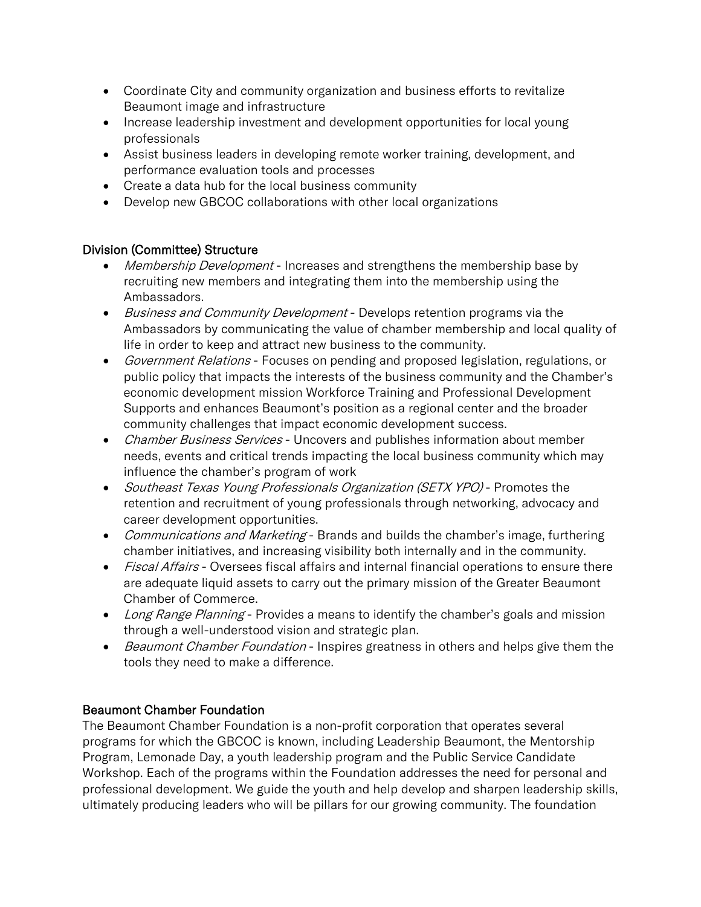- Coordinate City and community organization and business efforts to revitalize Beaumont image and infrastructure
- Increase leadership investment and development opportunities for local young professionals
- Assist business leaders in developing remote worker training, development, and performance evaluation tools and processes
- Create a data hub for the local business community
- Develop new GBCOC collaborations with other local organizations

### Division (Committee) Structure

- Membership Development Increases and strengthens the membership base by recruiting new members and integrating them into the membership using the Ambassadors.
- Business and Community Development Develops retention programs via the Ambassadors by communicating the value of chamber membership and local quality of life in order to keep and attract new business to the community.
- Government Relations Focuses on pending and proposed legislation, regulations, or public policy that impacts the interests of the business community and the Chamber's economic development mission Workforce Training and Professional Development Supports and enhances Beaumont's position as a regional center and the broader community challenges that impact economic development success.
- Chamber Business Services Uncovers and publishes information about member needs, events and critical trends impacting the local business community which may influence the chamber's program of work
- Southeast Texas Young Professionals Organization (SETX YPO) Promotes the retention and recruitment of young professionals through networking, advocacy and career development opportunities.
- Communications and Marketing Brands and builds the chamber's image, furthering chamber initiatives, and increasing visibility both internally and in the community.
- Fiscal Affairs Oversees fiscal affairs and internal financial operations to ensure there are adequate liquid assets to carry out the primary mission of the Greater Beaumont Chamber of Commerce.
- Long Range Planning Provides a means to identify the chamber's goals and mission through a well-understood vision and strategic plan.
- Beaumont Chamber Foundation Inspires greatness in others and helps give them the tools they need to make a difference.

#### Beaumont Chamber Foundation

The Beaumont Chamber Foundation is a non-profit corporation that operates several programs for which the GBCOC is known, including Leadership Beaumont, the Mentorship Program, Lemonade Day, a youth leadership program and the Public Service Candidate Workshop. Each of the programs within the Foundation addresses the need for personal and professional development. We guide the youth and help develop and sharpen leadership skills, ultimately producing leaders who will be pillars for our growing community. The foundation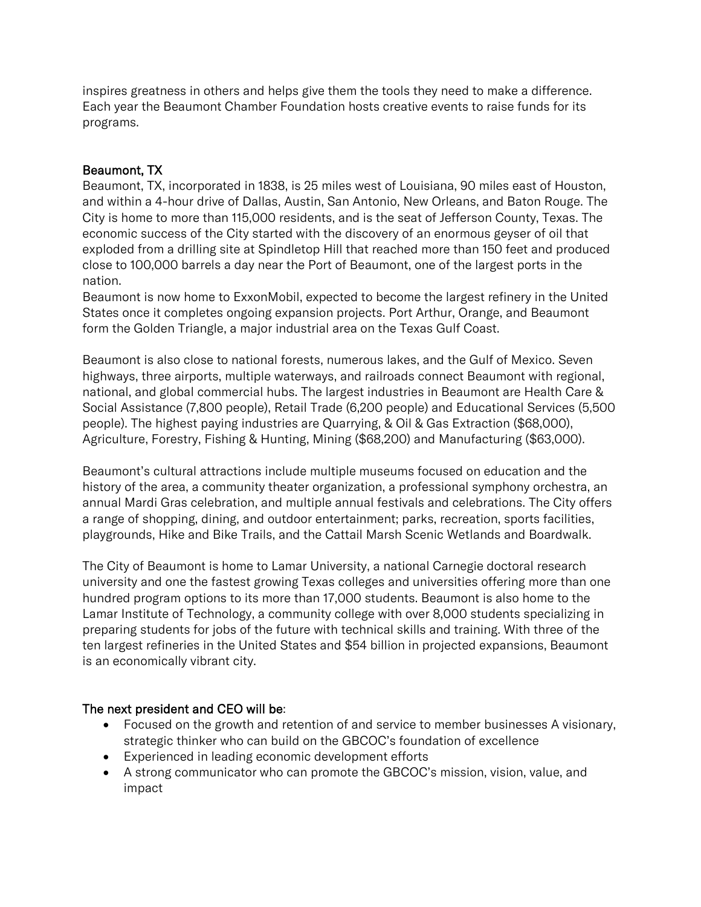inspires greatness in others and helps give them the tools they need to make a difference. Each year the Beaumont Chamber Foundation hosts creative events to raise funds for its programs.

# Beaumont, TX

Beaumont, TX, incorporated in 1838, is 25 miles west of Louisiana, 90 miles east of Houston, and within a 4-hour drive of Dallas, Austin, San Antonio, New Orleans, and Baton Rouge. The City is home to more than 115,000 residents, and is the seat of Jefferson County, Texas. The economic success of the City started with the discovery of an enormous geyser of oil that exploded from a drilling site at Spindletop Hill that reached more than 150 feet and produced close to 100,000 barrels a day near the Port of Beaumont, one of the largest ports in the nation.

Beaumont is now home to ExxonMobil, expected to become the largest refinery in the United States once it completes ongoing expansion projects. Port Arthur, Orange, and Beaumont form the Golden Triangle, a major industrial area on the Texas Gulf Coast.

Beaumont is also close to national forests, numerous lakes, and the Gulf of Mexico. Seven highways, three airports, multiple waterways, and railroads connect Beaumont with regional, national, and global commercial hubs. The largest industries in Beaumont are Health Care & Social Assistance (7,800 people), Retail Trade (6,200 people) and Educational Services (5,500 people). The highest paying industries are Quarrying, & Oil & Gas Extraction (\$68,000), Agriculture, Forestry, Fishing & Hunting, Mining (\$68,200) and Manufacturing (\$63,000).

Beaumont's cultural attractions include multiple museums focused on education and the history of the area, a community theater organization, a professional symphony orchestra, an annual Mardi Gras celebration, and multiple annual festivals and celebrations. The City offers a range of shopping, dining, and outdoor entertainment; parks, recreation, sports facilities, playgrounds, Hike and Bike Trails, and the Cattail Marsh Scenic Wetlands and Boardwalk.

The City of Beaumont is home to Lamar University, a national Carnegie doctoral research university and one the fastest growing Texas colleges and universities offering more than one hundred program options to its more than 17,000 students. Beaumont is also home to the Lamar Institute of Technology, a community college with over 8,000 students specializing in preparing students for jobs of the future with technical skills and training. With three of the ten largest refineries in the United States and \$54 billion in projected expansions, Beaumont is an economically vibrant city.

## The next president and CEO will be:

- Focused on the growth and retention of and service to member businesses A visionary, strategic thinker who can build on the GBCOC's foundation of excellence
- Experienced in leading economic development efforts
- A strong communicator who can promote the GBCOC's mission, vision, value, and impact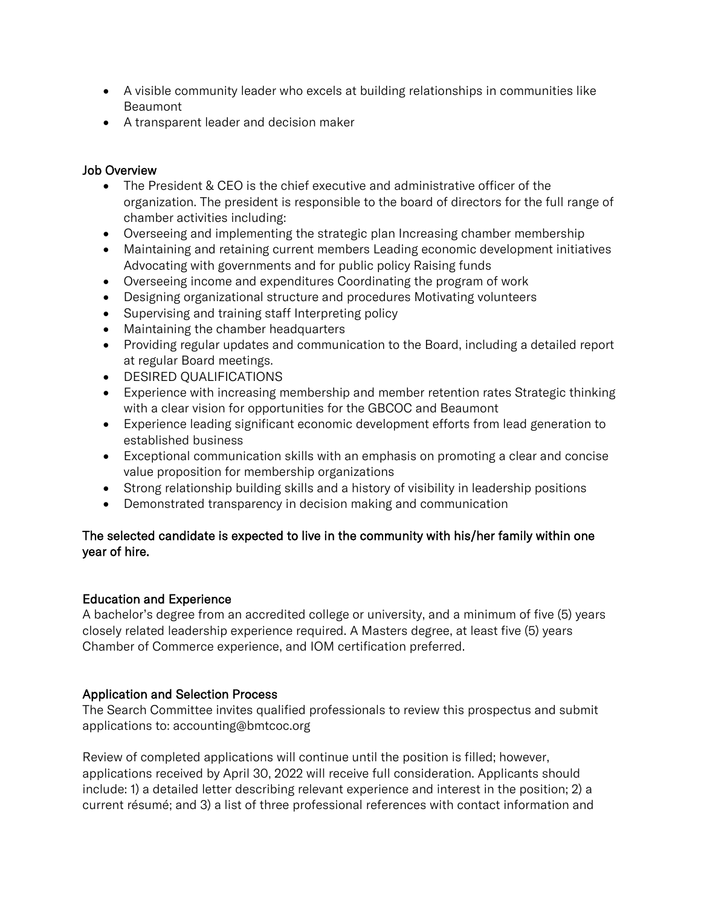- A visible community leader who excels at building relationships in communities like Beaumont
- A transparent leader and decision maker

# Job Overview

- The President & CEO is the chief executive and administrative officer of the organization. The president is responsible to the board of directors for the full range of chamber activities including:
- Overseeing and implementing the strategic plan Increasing chamber membership
- Maintaining and retaining current members Leading economic development initiatives Advocating with governments and for public policy Raising funds
- Overseeing income and expenditures Coordinating the program of work
- Designing organizational structure and procedures Motivating volunteers
- Supervising and training staff Interpreting policy
- Maintaining the chamber headquarters
- Providing regular updates and communication to the Board, including a detailed report at regular Board meetings.
- DESIRED QUALIFICATIONS
- Experience with increasing membership and member retention rates Strategic thinking with a clear vision for opportunities for the GBCOC and Beaumont
- Experience leading significant economic development efforts from lead generation to established business
- Exceptional communication skills with an emphasis on promoting a clear and concise value proposition for membership organizations
- Strong relationship building skills and a history of visibility in leadership positions
- Demonstrated transparency in decision making and communication

# The selected candidate is expected to live in the community with his/her family within one year of hire.

## Education and Experience

A bachelor's degree from an accredited college or university, and a minimum of five (5) years closely related leadership experience required. A Masters degree, at least five (5) years Chamber of Commerce experience, and IOM certification preferred.

## Application and Selection Process

The Search Committee invites qualified professionals to review this prospectus and submit applications to: accounting@bmtcoc.org

Review of completed applications will continue until the position is filled; however, applications received by April 30, 2022 will receive full consideration. Applicants should include: 1) a detailed letter describing relevant experience and interest in the position; 2) a current résumé; and 3) a list of three professional references with contact information and